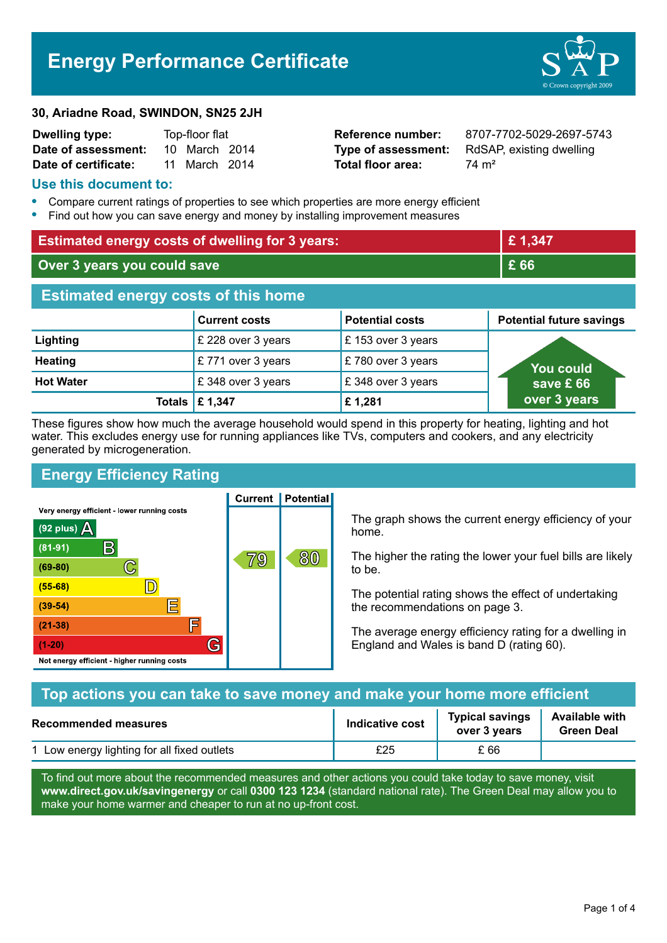# **Energy Performance Certificate**



#### **30, Ariadne Road, SWINDON, SN25 2JH**

| <b>Dwelling type:</b> | Top-floor flat |               |  |
|-----------------------|----------------|---------------|--|
| Date of assessment:   |                | 10 March 2014 |  |
| Date of certificate:  |                | 11 March 2014 |  |

**Total floor area:** 74 m<sup>2</sup>

**Reference number:** 8707-7702-5029-2697-5743 **Type of assessment:** RdSAP, existing dwelling

### **Use this document to:**

- **•** Compare current ratings of properties to see which properties are more energy efficient
- **•** Find out how you can save energy and money by installing improvement measures

| <b>Estimated energy costs of dwelling for 3 years:</b> |                           | £1,347                 |                                 |  |
|--------------------------------------------------------|---------------------------|------------------------|---------------------------------|--|
| Over 3 years you could save                            |                           | £ 66                   |                                 |  |
| <b>Estimated energy costs of this home</b>             |                           |                        |                                 |  |
|                                                        | <b>Current costs</b>      | <b>Potential costs</b> | <b>Potential future savings</b> |  |
| Lighting                                               | £ 228 over 3 years        | £153 over 3 years      |                                 |  |
| <b>Heating</b>                                         | £771 over 3 years         | £780 over 3 years      | You could                       |  |
| <b>Hot Water</b>                                       | £348 over 3 years         | £348 over 3 years      | save £66                        |  |
|                                                        | Totals $\mathsf{E}$ 1,347 | £1,281                 | over 3 years                    |  |

These figures show how much the average household would spend in this property for heating, lighting and hot water. This excludes energy use for running appliances like TVs, computers and cookers, and any electricity generated by microgeneration.

**Current | Potential** 

# **Energy Efficiency Rating**

Very energy efficient - lower running costs



The graph shows the current energy efficiency of your home.

The higher the rating the lower your fuel bills are likely to be.

The potential rating shows the effect of undertaking the recommendations on page 3.

The average energy efficiency rating for a dwelling in England and Wales is band D (rating 60).

| Top actions you can take to save money and make your home more efficient |                        |                                        |                                            |
|--------------------------------------------------------------------------|------------------------|----------------------------------------|--------------------------------------------|
| <b>Recommended measures</b>                                              | <b>Indicative cost</b> | <b>Typical savings</b><br>over 3 years | <b>Available with</b><br><b>Green Deal</b> |
| 1 Low energy lighting for all fixed outlets                              | £25                    | £ 66                                   |                                            |

To find out more about the recommended measures and other actions you could take today to save money, visit **www.direct.gov.uk/savingenergy** or call **0300 123 1234** (standard national rate). The Green Deal may allow you to make your home warmer and cheaper to run at no up-front cost.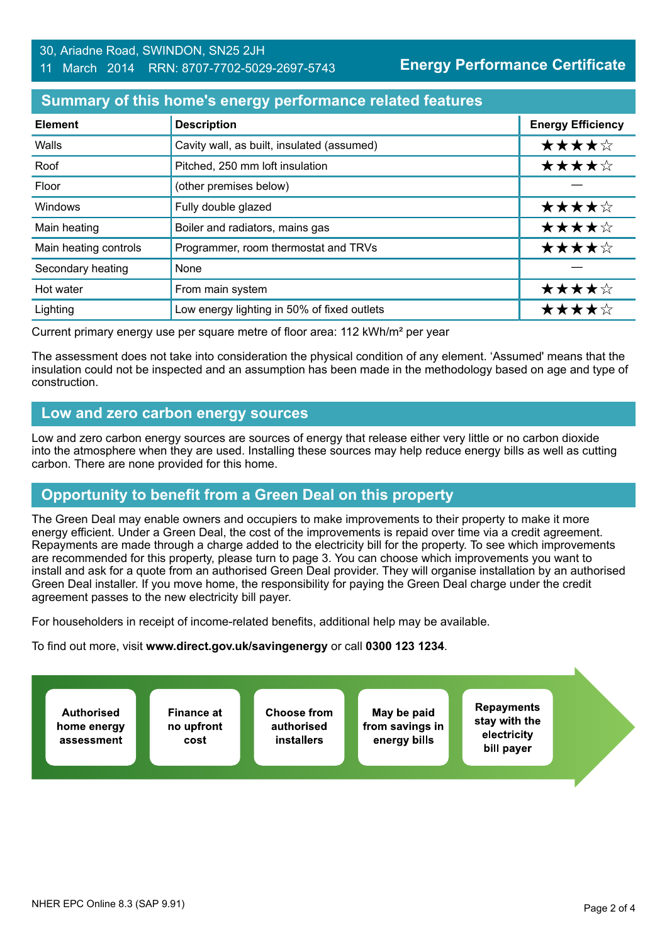## **Summary of this home's energy performance related features**

| <b>Element</b>        | <b>Description</b>                          | <b>Energy Efficiency</b> |
|-----------------------|---------------------------------------------|--------------------------|
| Walls                 | Cavity wall, as built, insulated (assumed)  | ★★★★☆                    |
| Roof                  | Pitched, 250 mm loft insulation             | ★★★★☆                    |
| Floor                 | (other premises below)                      |                          |
| Windows               | Fully double glazed                         | ★★★★☆                    |
| Main heating          | Boiler and radiators, mains gas             | ★★★★☆                    |
| Main heating controls | Programmer, room thermostat and TRVs        | ★★★★☆                    |
| Secondary heating     | None                                        |                          |
| Hot water             | From main system                            | ★★★★☆                    |
| Lighting              | Low energy lighting in 50% of fixed outlets | ★★★★☆                    |

Current primary energy use per square metre of floor area: 112 kWh/m² per year

The assessment does not take into consideration the physical condition of any element. 'Assumed' means that the insulation could not be inspected and an assumption has been made in the methodology based on age and type of construction.

## **Low and zero carbon energy sources**

Low and zero carbon energy sources are sources of energy that release either very little or no carbon dioxide into the atmosphere when they are used. Installing these sources may help reduce energy bills as well as cutting carbon. There are none provided for this home.

## **Opportunity to benefit from a Green Deal on this property**

The Green Deal may enable owners and occupiers to make improvements to their property to make it more energy efficient. Under a Green Deal, the cost of the improvements is repaid over time via a credit agreement. Repayments are made through a charge added to the electricity bill for the property. To see which improvements are recommended for this property, please turn to page 3. You can choose which improvements you want to install and ask for a quote from an authorised Green Deal provider. They will organise installation by an authorised Green Deal installer. If you move home, the responsibility for paying the Green Deal charge under the credit agreement passes to the new electricity bill payer.

For householders in receipt of income-related benefits, additional help may be available.

To find out more, visit **www.direct.gov.uk/savingenergy** or call **0300 123 1234**.

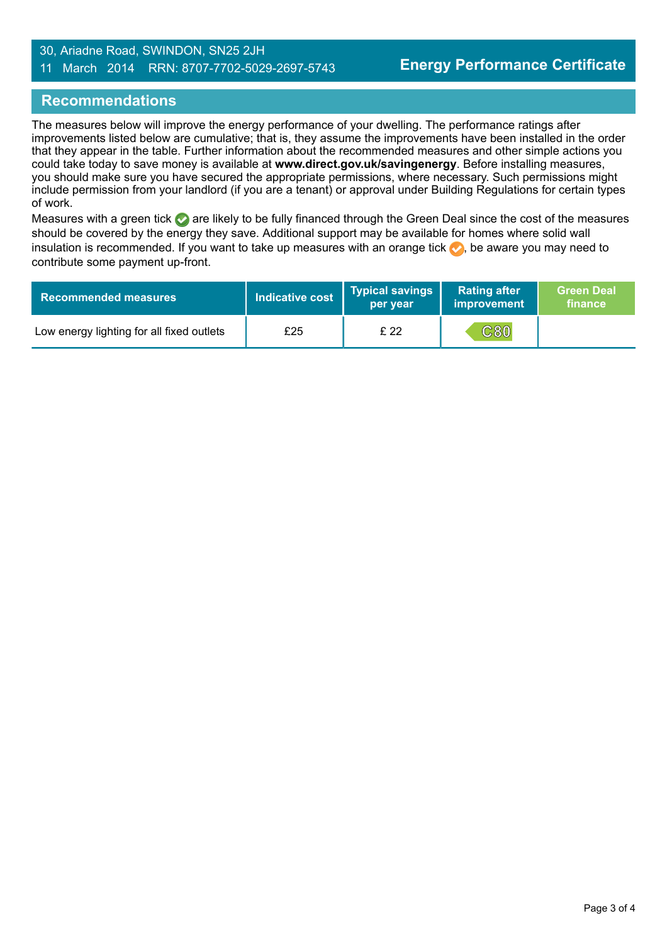#### 30, Ariadne Road, SWINDON, SN25 2JH 11 March 2014 RRN: 8707-7702-5029-2697-5743

## **Recommendations**

The measures below will improve the energy performance of your dwelling. The performance ratings after improvements listed below are cumulative; that is, they assume the improvements have been installed in the order that they appear in the table. Further information about the recommended measures and other simple actions you could take today to save money is available at **www.direct.gov.uk/savingenergy**. Before installing measures, you should make sure you have secured the appropriate permissions, where necessary. Such permissions might include permission from your landlord (if you are a tenant) or approval under Building Regulations for certain types of work.

Measures with a green tick are likely to be fully financed through the Green Deal since the cost of the measures should be covered by the energy they save. Additional support may be available for homes where solid wall insulation is recommended. If you want to take up measures with an orange tick  $\blacklozenge$ , be aware you may need to contribute some payment up-front.

| <b>Recommended measures</b>               | <b>Indicative cost</b> | Typical savings<br>per year | <b>Rating after</b><br>improvement | <b>Green Deal</b><br>finance |
|-------------------------------------------|------------------------|-----------------------------|------------------------------------|------------------------------|
| Low energy lighting for all fixed outlets | £25                    | £22                         | $\mathbb C$ 80                     |                              |